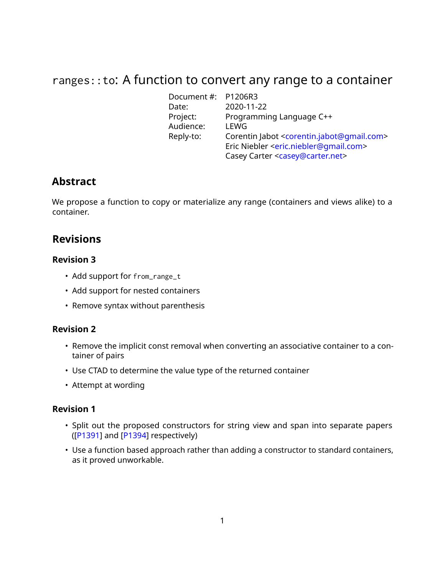# ranges::to: A function to convert any range to a container

Document #: P1206R3 Date: 2020-11-22 Programming Language C++ Project: Progra<br>Audience: LEWG Reply-to: Corentin Jabot [<corentin.jabot@gmail.com>](mailto:corentin.jabot@gmail.com) Eric Niebler [<eric.niebler@gmail.com>](mailto:eric.niebler@gmail.com) Casey Carter [<casey@carter.net>](mailto:casey@carter.net)

## **Abstract**

We propose a function to copy or materialize any range (containers and views alike) to a container.

## **Revisions**

#### **Revision 3**

- Add support for from\_range\_t
- Add support for nested containers
- Remove syntax without parenthesis

#### **Revision 2**

- Remove the implicit const removal when converting an associative container to a container of pairs
- Use CTAD to determine the value type of the returned container
- Attempt at wording

#### **Revision 1**

- Split out the proposed constructors for string view and span into separate papers ([\[P1391\]](#page-10-0) and [\[P1394\]](#page-10-1) respectively)
- Use a function based approach rather than adding a constructor to standard containers, as it proved unworkable.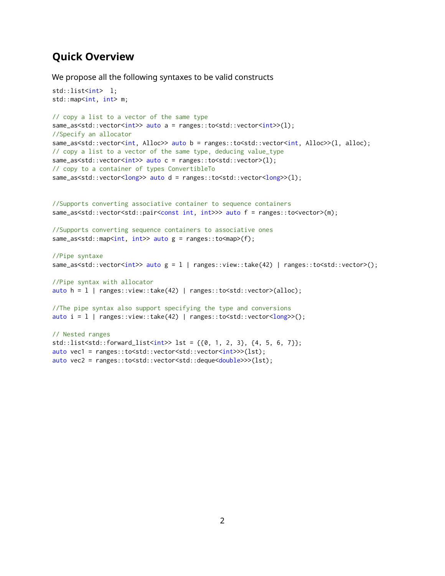## **Quick Overview**

We propose all the following syntaxes to be valid constructs

```
std::list<int> l;
std::map<int, int> m;
```

```
// copy a list to a vector of the same type
same_as<std::vector<int>> auto a = ranges::to<std::vector<int>>(l);
//Specify an allocator
same_as<std::vector<int, Alloc>> auto b = ranges::to<std::vector<int, Alloc>>(1, alloc);
// copy a list to a vector of the same type, deducing value_type
same_as<std::vector<int>> auto c = ranges::to<std::vector>(1);
// copy to a container of types ConvertibleTo
same_as<std::vector<long>> auto d = ranges::to<std::vector<long>>(l);
```

```
//Supports converting associative container to sequence containers
same_as<std::vector<std::pair<const int, int>>> auto f = ranges::to<vector>(m);
```
//Supports converting sequence containers to associative ones same\_as<std::map<int, int>> auto g = ranges::to<map>(f);

```
//Pipe syntaxe
same_as<std::vector<int>> auto g = l | ranges::view::take(42) | ranges::to<std::vector>();
```

```
//Pipe syntax with allocator
auto h = l | ranges::view::take(42) | ranges::to<std::vector>(alloc);
```
//The pipe syntax also support specifying the type and conversions auto  $i = 1$  | ranges::view::take(42) | ranges::to<std::vector< $long$  >>();

```
// Nested ranges
std::list < std::forward_list < int > 1st = \{\{0, 1, 2, 3\}, \{4, 5, 6, 7\}\};auto vec1 = ranges::to<std::vector<std::vector<int>>>(lst);
auto vec2 = ranges::to<std::vector<std::deque<double>>>(lst);
```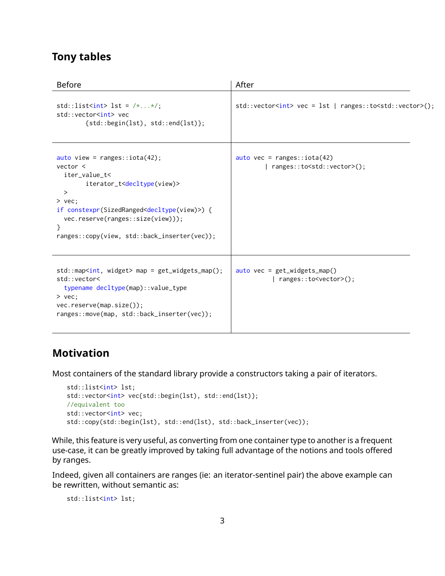## **Tony tables**

| <b>Before</b>                                                                                                                                                                                                                                                                                                         | After                                                                        |
|-----------------------------------------------------------------------------------------------------------------------------------------------------------------------------------------------------------------------------------------------------------------------------------------------------------------------|------------------------------------------------------------------------------|
| std::list <int> lst = <math>/**/;</math><br/>std::vector<int> vec<br/><math>{std::begin(lst), std::end(lst)};</math></int></int>                                                                                                                                                                                      | std::vector <int> vec = lst   ranges::to<std::vector>();</std::vector></int> |
| auto view = $ranges::iota(42);$<br>vector <<br>iter_value_t<<br>iterator_t <decltype(view)><br/><math>\geq</math><br/><math>&gt;</math> vec:<br/>if constexpr(SizedRanged<decltype(view)>) {<br/>vec.reserve(ranges::size(view)));<br/>ranges::copy(view, std::back_inserter(vec));</decltype(view)></decltype(view)> | auto vec = ranges:: $iota(42)$<br>ranges::to <std::vector>();</std::vector>  |
| $std::map, widget> map = get_widgets_map();std::vector<typename decltype(map)::value_type> vec:vec. reserve(map.size());ranges::move(map, std::back_inserter(vec));$                                                                                                                                                  | $auto$ vec = get_widgets_map()<br>$ $ ranges::to <vector>();</vector>        |

## **Motivation**

Most containers of the standard library provide a constructors taking a pair of iterators.

```
std::list<int> lst;
std::vector<int> vec{std::begin(lst), std::end(lst)};
//equivalent too
std::vector<int> vec;
std::copy(std::begin(lst), std::end(lst), std::back_inserter(vec));
```
While, this feature is very useful, as converting from one container type to another is a frequent use-case, it can be greatly improved by taking full advantage of the notions and tools offered by ranges.

Indeed, given all containers are ranges (ie: an iterator-sentinel pair) the above example can be rewritten, without semantic as:

```
std::list<int> lst;
```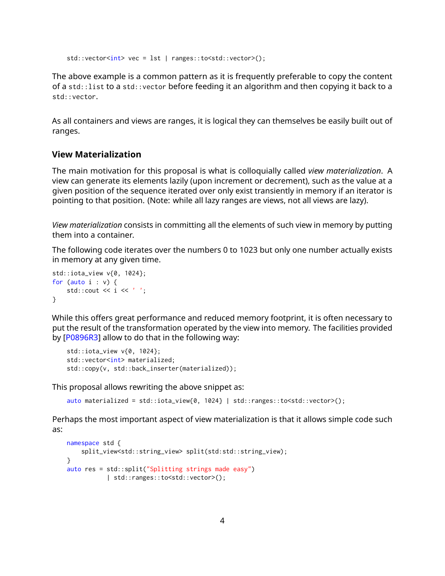```
std::vector<int> vec = lst | ranges::to<std::vector>();
```
The above example is a common pattern as it is frequently preferable to copy the content of a std::list to a std::vector before feeding it an algorithm and then copying it back to a std::vector.

As all containers and views are ranges, it is logical they can themselves be easily built out of ranges.

#### **View Materialization**

The main motivation for this proposal is what is colloquially called *view materialization*. A view can generate its elements lazily (upon increment or decrement), such as the value at a given position of the sequence iterated over only exist transiently in memory if an iterator is pointing to that position. (Note: while all lazy ranges are views, not all views are lazy).

*View materialization* consists in committing all the elements of such view in memory by putting them into a container.

The following code iterates over the numbers 0 to 1023 but only one number actually exists in memory at any given time.

```
std::iota_view v{0, 1024};
for (auto i : v) {
   std::cout \ll i \ll '';
}
```
While this offers great performance and reduced memory footprint, it is often necessary to put the result of the transformation operated by the view into memory. The facilities provided by [\[P0896R3\]](#page-10-2) allow to do that in the following way:

```
std::iota_view v{0, 1024};
std::vector<int> materialized;
std::copy(v, std::back_inserter(materialized));
```
This proposal allows rewriting the above snippet as:

```
auto materialized = std::iota_view{0, 1024} | std::ranges::to<std::vector>();
```
Perhaps the most important aspect of view materialization is that it allows simple code such as:

```
namespace std {
   split_view<std::string_view> split(std:std::string_view);
}
auto res = std::split("Splitting strings made easy")
          | std::ranges::to<std::vector>();
```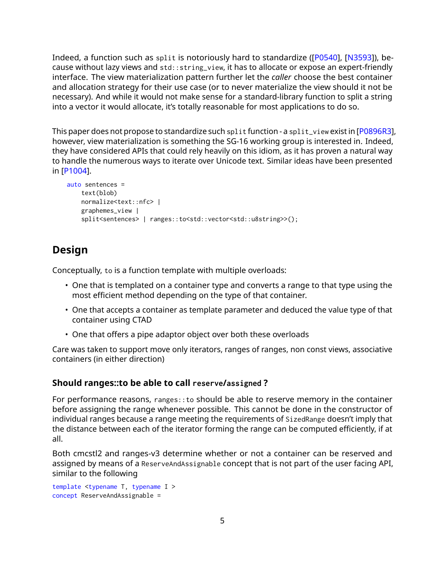Indeed, a function such as split is notoriously hard to standardize([\[P0540\]](#page-10-3), [\[N3593\]](#page-10-4)), because without lazy views and std::string\_view, it has to allocate or expose an expert-friendly interface. The view materialization pattern further let the *caller* choose the best container and allocation strategy for their use case (or to never materialize the view should it not be necessary). And while it would not make sense for a standard-library function to split a string into a vector it would allocate, it's totally reasonable for most applications to do so.

This paper does not propose to standardize such split function - a split\_view exist in [\[P0896R3\]](#page-10-2), however, view materialization is something the SG-16 working group is interested in. Indeed, they have considered APIs that could rely heavily on this idiom, as it has proven a natural way to handle the numerous ways to iterate over Unicode text. Similar ideas have been presented in [\[P1004\]](#page-10-5).

```
auto sentences =
    text(blob)
    normalize<text::nfc> |
    graphemes_view |
    split<sentences> | ranges::to<std::vector<std::u8string>>();
```
## **Design**

Conceptually, to is a function template with multiple overloads:

- One that is templated on a container type and converts a range to that type using the most efficient method depending on the type of that container.
- One that accepts a container as template parameter and deduced the value type of that container using CTAD
- One that offers a pipe adaptor object over both these overloads

Care was taken to support move only iterators, ranges of ranges, non const views, associative containers (in either direction)

#### **Should ranges::to be able to call reserve/assigned ?**

For performance reasons, ranges::to should be able to reserve memory in the container before assigning the range whenever possible. This cannot be done in the constructor of individual ranges because a range meeting the requirements of SizedRange doesn't imply that the distance between each of the iterator forming the range can be computed efficiently, if at all.

Both cmcstl2 and ranges-v3 determine whether or not a container can be reserved and assigned by means of a ReserveAndAssignable concept that is not part of the user facing API, similar to the following

```
template <typename T, typename I >
concept ReserveAndAssignable =
```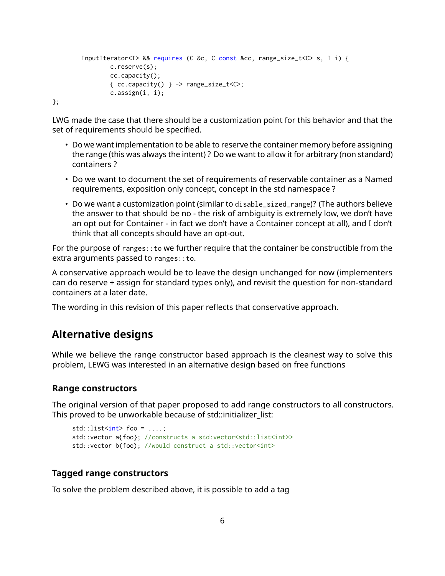```
InputIterator<I> && requires (C &c, C const &cc, range_size_t<C> s, I i) {
       c.reserve(s);
       cc.capacity();
       { cc.capacity() } -> range_size_t < c;
       c.assign(i, i);
```
};

LWG made the case that there should be a customization point for this behavior and that the set of requirements should be specified.

- Do we want implementation to be able to reserve the container memory before assigning the range (this was always the intent) ? Do we want to allow it for arbitrary (non standard) containers ?
- Do we want to document the set of requirements of reservable container as a Named requirements, exposition only concept, concept in the std namespace ?
- Do we want a customization point (similar to disable\_sized\_range)? (The authors believe the answer to that should be no - the risk of ambiguity is extremely low, we don't have an opt out for Container - in fact we don't have a Container concept at all), and I don't think that all concepts should have an opt-out.

For the purpose of ranges:: to we further require that the container be constructible from the extra arguments passed to ranges: : to.

A conservative approach would be to leave the design unchanged for now (implementers can do reserve + assign for standard types only), and revisit the question for non-standard containers at a later date.

The wording in this revision of this paper reflects that conservative approach.

## **Alternative designs**

While we believe the range constructor based approach is the cleanest way to solve this problem, LEWG was interested in an alternative design based on free functions

#### **Range constructors**

The original version of that paper proposed to add range constructors to all constructors. This proved to be unworkable because of std::initializer\_list:

```
std::list<int>00 = ...;std::vector a{foo}; //constructs a std:vector<std::list<int>>
std::vector b(foo); //would construct a std::vector<int>
```
#### **Tagged range constructors**

To solve the problem described above, it is possible to add a tag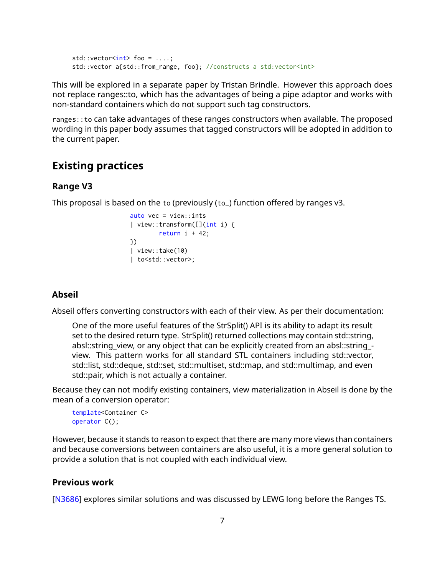```
std::vector<sub>int</sub> > foo = ...;std::vector a{std::from_range, foo}; //constructs a std:vector<int>
```
This will be explored in a separate paper by Tristan Brindle. However this approach does not replace ranges::to, which has the advantages of being a pipe adaptor and works with non-standard containers which do not support such tag constructors.

ranges::to can take advantages of these ranges constructors when available. The proposed wording in this paper body assumes that tagged constructors will be adopted in addition to the current paper.

## **Existing practices**

#### **Range V3**

This proposal is based on the to (previously (to\_) function offered by ranges v3.

```
auto vec = view::ints
| view::transform([](int i) {
        return i + 42;
})
| view::take(10)
| to<std::vector>;
```
#### **Abseil**

Abseil offers converting constructors with each of their view. As per their documentation:

One of the more useful features of the StrSplit() API is its ability to adapt its result set to the desired return type. StrSplit() returned collections may contain std::string, absl::string\_view, or any object that can be explicitly created from an absl::string\_ view. This pattern works for all standard STL containers including std::vector, std::list, std::deque, std::set, std::multiset, std::map, and std::multimap, and even std::pair, which is not actually a container.

Because they can not modify existing containers, view materialization in Abseil is done by the mean of a conversion operator:

```
template<Container C>
operator C();
```
However, because it stands to reason to expect that there are many more views than containers and because conversions between containers are also useful, it is a more general solution to provide a solution that is not coupled with each individual view.

#### **Previous work**

[\[N3686\]](#page-10-6) explores similar solutions and was discussed by LEWG long before the Ranges TS.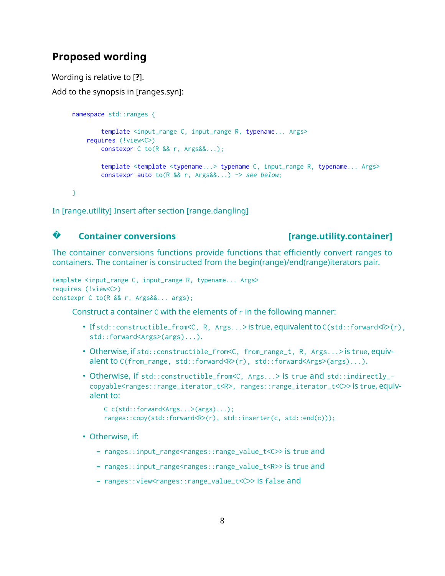## **Proposed wording**

Wording is relative to [**?**].

Add to the synopsis in [ranges.syn]:

```
namespace std::ranges {
        template <input_range C, input_range R, typename... Args>
    requires (!view<C>)
        constexpr C to(R && r, Args&&...);
        template <template <typename...> typename C, input_range R, typename... Args>
        constexpr auto to(R && r, Args&&...) -> see below;
}
```
In [range.utility] Insert after section [range.dangling]

#### **?Container conversions [range.utility.container]**

The container conversions functions provide functions that efficiently convert ranges to containers. The container is constructed from the begin(range)/end(range)iterators pair.

```
template <input_range C, input_range R, typename... Args>
requires (!view<C>)
constexpr C to(R && r, Args&&... args);
```
Construct a container C with the elements of r in the following manner:

- If std::constructible\_from<C, R, Args...> is true, equivalent to C(std::forward<R>(r), std::forward<Args>(args)...).
- Otherwise, if std::constructible\_from<C, from\_range\_t, R, Args...> is true, equivalent to C(from\_range, std::forward<R>(r), std::forward<Args>(args)...).
- Otherwise, if std::constructible\_from<C, Args...> is true and std::indirectly\_copyable<ranges::range\_iterator\_t<R>, ranges::range\_iterator\_t<C>> is true, equivalent to:

```
C c(std::forward<Args...>(args)...);
ranges::copy(std::forward<R>(r), std::inserter(c, std::end(c)));
```
- Otherwise, if:
	- **–** ranges::input\_range<ranges::range\_value\_t<C>> is true and
	- **–** ranges::input\_range<ranges::range\_value\_t<R>> is true and
	- **–** ranges::view<ranges::range\_value\_t<C>> is false and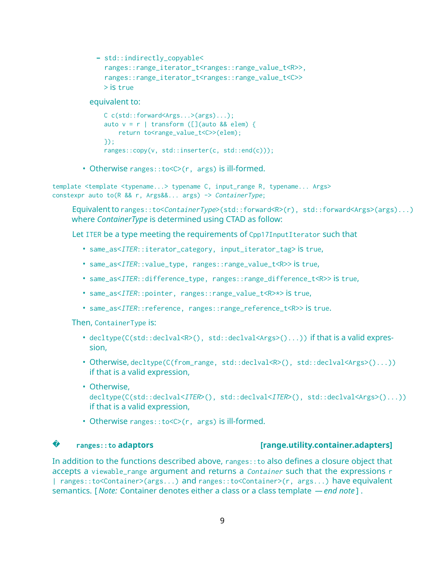```
– std::indirectly_copyable<
 ranges::range_iterator_t<ranges::range_value_t<R>>,
  ranges::range_iterator_t<ranges::range_value_t<C>>
 > is true
```
equivalent to:

```
C c(std::forward<Args...>(args)...);
auto v = r | transform ([](auto && elem) {
   return to<range_value_t<C>>(elem);
});
ranges::copy(v, std::inserter(c, std::end(c)));
```
• Otherwise ranges::to<C>(r, args) is ill-formed.

template <template <typename...> typename C, input\_range R, typename... Args> constexpr auto to(R && r, Args&&... args) -> ContainerType;

Equivalent to ranges::to<ContainerType>(std::forward<R>(r), std::forward<Args>(args)...) where *ContainerType* is determined using CTAD as follow:

Let ITER be a type meeting the requirements of Cpp17InputIterator such that

- same\_as<ITER::iterator\_category, input\_iterator\_tag> is true,
- same\_as<ITER::value\_type, ranges::range\_value\_t<R>> is true,
- same\_as<ITER::difference\_type, ranges::range\_difference\_t<R>> is true,
- same\_as<ITER::pointer, ranges::range\_value\_t<R>\*> is true,
- same\_as<ITER::reference, ranges::range\_reference\_t<R>> is true.

Then, ContainerType is:

- $decttype(C(stat::declval(), std::declval(),..))$  if that is a valid expression,
- Otherwise, decltype(C(from\_range, std::declval<R>(), std::declval<Args>()...)) if that is a valid expression,
- Otherwise, decltype(C(std::declval<ITER>(), std::declval<ITER>(), std::declval<Args>()...)) if that is a valid expression,
- Otherwise ranges::to<C>(r, args) is ill-formed.

#### **?**

#### **ranges::to adaptors [range.utility.container.adapters]**

In addition to the functions described above, ranges::to also defines a closure object that accepts a viewable\_range argument and returns a *Container* such that the expressions r | ranges::to<Container>(args...) and ranges::to<Container>(r, args...) have equivalent semantics. [ *Note:* Container denotes either a class or a class template *— end note* ] .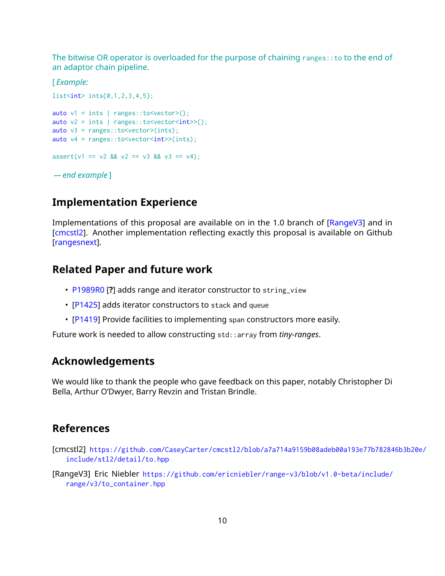The bitwise OR operator is overloaded for the purpose of chaining ranges::to to the end of an adaptor chain pipeline.

[ *Example:*

```
list<int> ints{0,1,2,3,4,5};
auto v1 = ints | ranges::to<vector>();
auto v2 = ints | ranges::to<vector<int>>();
auto v3 = \text{ranges}::to<vector>(ints);
auto v4 = \text{ranges}::\text{to}~\text{vector}~\text{in}~\text{t}~\text{in}~\text{t}assert(v1 == v2 88 v2 == v3 88 v3 == v4);— end example ]
```
## **Implementation Experience**

Implementations of this proposal are available on in the 1.0 branch of [\[RangeV3\]](#page-9-0) and in [\[cmcstl2\]](#page-9-1). Another implementation reflecting exactly this proposal is available on Github [\[rangesnext\]](#page-10-7).

## **Related Paper and future work**

- [P1989R0](https://wg21.link/P1989R0) [**?**] adds range and iterator constructor to string\_view
- [\[P1425\]](#page-10-8) adds iterator constructors to stack and queue
- [\[P1419\]](#page-10-9) Provide facilities to implementing span constructors more easily.

Future work is needed to allow constructing std::array from *tiny-ranges*.

## **Acknowledgements**

We would like to thank the people who gave feedback on this paper, notably Christopher Di Bella, Arthur O'Dwyer, Barry Revzin and Tristan Brindle.

#### **References**

- <span id="page-9-1"></span>[cmcstl2] [https://github.com/CaseyCarter/cmcstl2/blob/a7a714a9159b08adeb00a193e77b78284](https://github.com/CaseyCarter/cmcstl2/blob/a7a714a9159b08adeb00a193e77b782846b3b20e/include/stl2/detail/to.hpp)6b3b20e/ [include/stl2/detail/to.hpp](https://github.com/CaseyCarter/cmcstl2/blob/a7a714a9159b08adeb00a193e77b782846b3b20e/include/stl2/detail/to.hpp)
- <span id="page-9-0"></span>[RangeV3] Eric Niebler [https://github.com/ericniebler/range-v3/blob/v1.0-beta/include/](https://github.com/ericniebler/range-v3/blob/v1.0-beta/include/range/v3/to_container.hpp) [range/v3/to\\_container.hpp](https://github.com/ericniebler/range-v3/blob/v1.0-beta/include/range/v3/to_container.hpp)